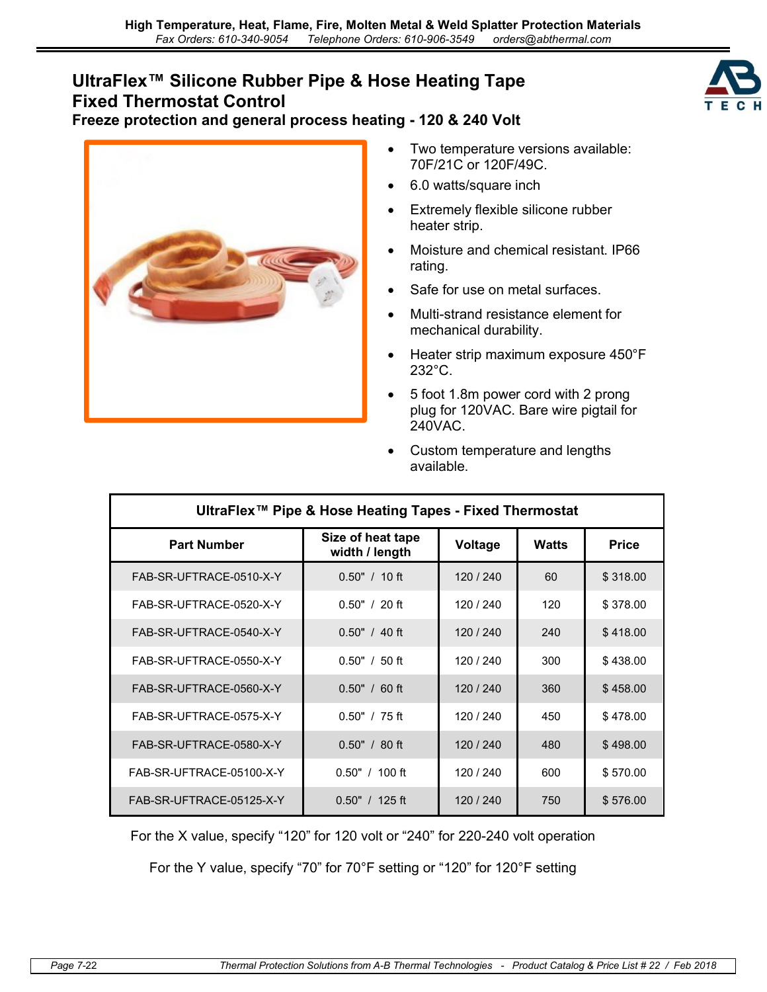## **UltraFlex™ Silicone Rubber Pipe & Hose Heating Tape Fixed Thermostat Control**





- Two temperature versions available: 70F/21C or 120F/49C.
- 6.0 watts/square inch
- Extremely flexible silicone rubber heater strip.
- Moisture and chemical resistant. IP66 rating.
- Safe for use on metal surfaces.
- Multi-strand resistance element for mechanical durability.
- Heater strip maximum exposure 450°F 232°C.
- 5 foot 1.8m power cord with 2 prong plug for 120VAC. Bare wire pigtail for 240VAC.
- Custom temperature and lengths available.

| UltraFlex™ Pipe & Hose Heating Tapes - Fixed Thermostat |                                     |           |              |              |  |
|---------------------------------------------------------|-------------------------------------|-----------|--------------|--------------|--|
| <b>Part Number</b>                                      | Size of heat tape<br>width / length | Voltage   | <b>Watts</b> | <b>Price</b> |  |
| FAB-SR-UFTRACE-0510-X-Y                                 | $0.50" / 10$ ft                     | 120 / 240 | 60           | \$318.00     |  |
| FAB-SR-UFTRACE-0520-X-Y                                 | $0.50" / 20$ ft                     | 120 / 240 | 120          | \$378.00     |  |
| FAB-SR-UFTRACE-0540-X-Y                                 | $0.50" / 40$ ft                     | 120 / 240 | 240          | \$418.00     |  |
| FAB-SR-UFTRACE-0550-X-Y                                 | $0.50" / 50$ ft                     | 120 / 240 | 300          | \$438.00     |  |
| FAB-SR-UFTRACE-0560-X-Y                                 | $0.50" / 60$ ft                     | 120 / 240 | 360          | \$458.00     |  |
| FAB-SR-UFTRACE-0575-X-Y                                 | $0.50" / 75$ ft                     | 120 / 240 | 450          | \$478.00     |  |
| FAB-SR-UFTRACE-0580-X-Y                                 | $0.50" / 80$ ft                     | 120 / 240 | 480          | \$498.00     |  |
| FAB-SR-UFTRACE-05100-X-Y                                | $0.50" / 100$ ft                    | 120 / 240 | 600          | \$570.00     |  |
| FAB-SR-UFTRACE-05125-X-Y                                | $0.50" / 125$ ft                    | 120 / 240 | 750          | \$576.00     |  |

For the X value, specify "120" for 120 volt or "240" for 220-240 volt operation

For the Y value, specify "70" for 70°F setting or "120" for 120°F setting